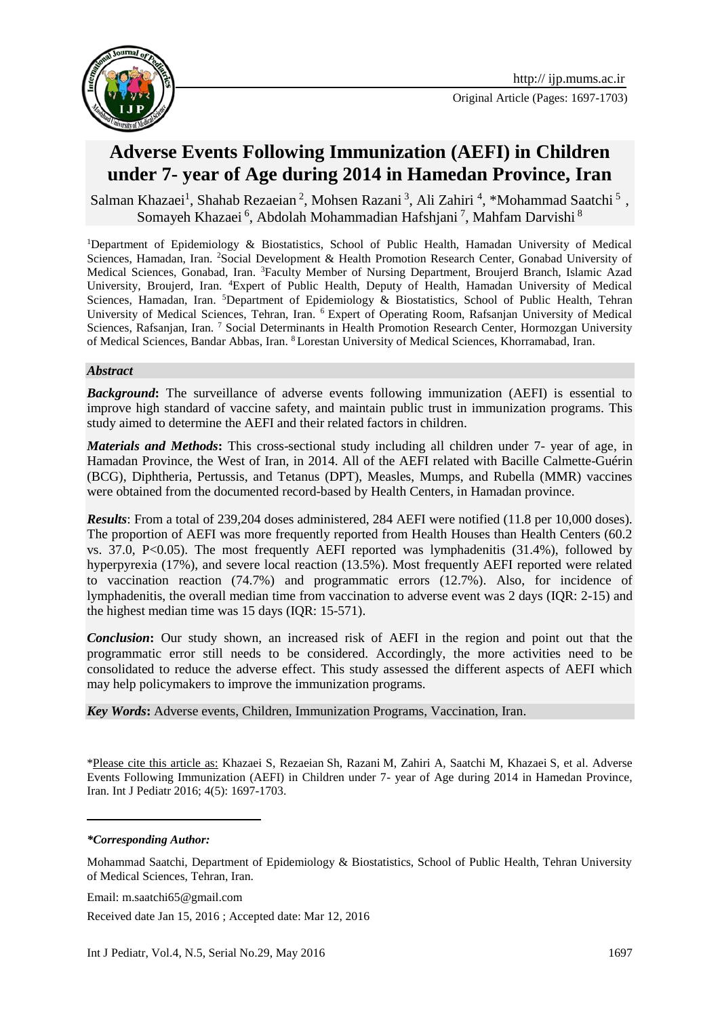

# **Adverse Events Following Immunization (AEFI) in Children under 7- year of Age during 2014 in Hamedan Province, Iran**

Salman Khazaei<sup>1</sup>, Shahab Rezaeian<sup>2</sup>, Mohsen Razani<sup>3</sup>, Ali Zahiri<sup>4</sup>, \*Mohammad Saatchi<sup>5</sup>, Somayeh Khazaei <sup>6</sup>, Abdolah Mohammadian Hafshjani <sup>7</sup>, Mahfam Darvishi <sup>8</sup>

<sup>1</sup>Department of Epidemiology & Biostatistics, School of Public Health, Hamadan University of Medical Sciences, Hamadan, Iran. <sup>2</sup>Social Development & Health Promotion Research Center, Gonabad University of Medical Sciences, Gonabad, Iran. <sup>3</sup>Faculty Member of Nursing Department, Broujerd Branch, Islamic Azad University, Broujerd, Iran. <sup>4</sup>Expert of Public Health, Deputy of Health, Hamadan University of Medical Sciences, Hamadan, Iran. <sup>5</sup>Department of Epidemiology & Biostatistics, School of Public Health, Tehran University of Medical Sciences, Tehran, Iran. <sup>6</sup> Expert of Operating Room, Rafsanjan University of Medical Sciences, Rafsanjan, Iran. 7 Social Determinants in Health Promotion Research Center, Hormozgan University of Medical Sciences, Bandar Abbas, Iran. <sup>8</sup> Lorestan University of Medical Sciences, Khorramabad, Iran.

#### *Abstract*

*Background***:** The surveillance of adverse events following immunization (AEFI) is essential to improve high standard of vaccine safety, and maintain public trust in immunization programs. This study aimed to determine the AEFI and their related factors in children.

*Materials and Methods***:** This cross-sectional study including all children under 7- year of age, in Hamadan Province, the West of Iran, in 2014. All of the AEFI related with Bacille Calmette-Guérin (BCG), Diphtheria, Pertussis, and Tetanus (DPT), Measles, Mumps, and Rubella (MMR) vaccines were obtained from the documented record-based by Health Centers, in Hamadan province.

*Results*: From a total of 239,204 doses administered, 284 AEFI were notified (11.8 per 10,000 doses). The proportion of AEFI was more frequently reported from Health Houses than Health Centers (60.2 vs.  $37.0$ ,  $P<0.05$ ). The most frequently AEFI reported was lymphadenitis  $(31.4\%)$ , followed by hyperpyrexia (17%), and severe local reaction (13.5%). Most frequently AEFI reported were related to vaccination reaction (74.7%) and programmatic errors (12.7%). Also, for incidence of lymphadenitis, the overall median time from vaccination to adverse event was 2 days (IQR: 2-15) and the highest median time was 15 days (IQR: 15-571).

**Conclusion:** Our study shown, an increased risk of AEFI in the region and point out that the programmatic error still needs to be considered. Accordingly, the more activities need to be consolidated to reduce the adverse effect. This study assessed the different aspects of AEFI which may help policymakers to improve the immunization programs.

*Key Words***:** Adverse events, Children, [Immunization Programs,](http://www.ncbi.nlm.nih.gov/mesh/68017589) Vaccination, Iran.

\*Please cite this article as: Khazaei S, Rezaeian Sh, Razani M, Zahiri A, Saatchi M, Khazaei S, et al. Adverse Events Following Immunization (AEFI) in Children under 7- year of Age during 2014 in Hamedan Province, Iran. Int J Pediatr 2016; 4(5): 1697-1703.

#### *\*Corresponding Author:*

<u>—</u>

Mohammad Saatchi, Department of Epidemiology & Biostatistics, School of Public Health, Tehran University of Medical Sciences, Tehran, Iran.

Email: m.saatchi65@gmail.com

Received date Jan 15, 2016 ; Accepted date: Mar 12, 2016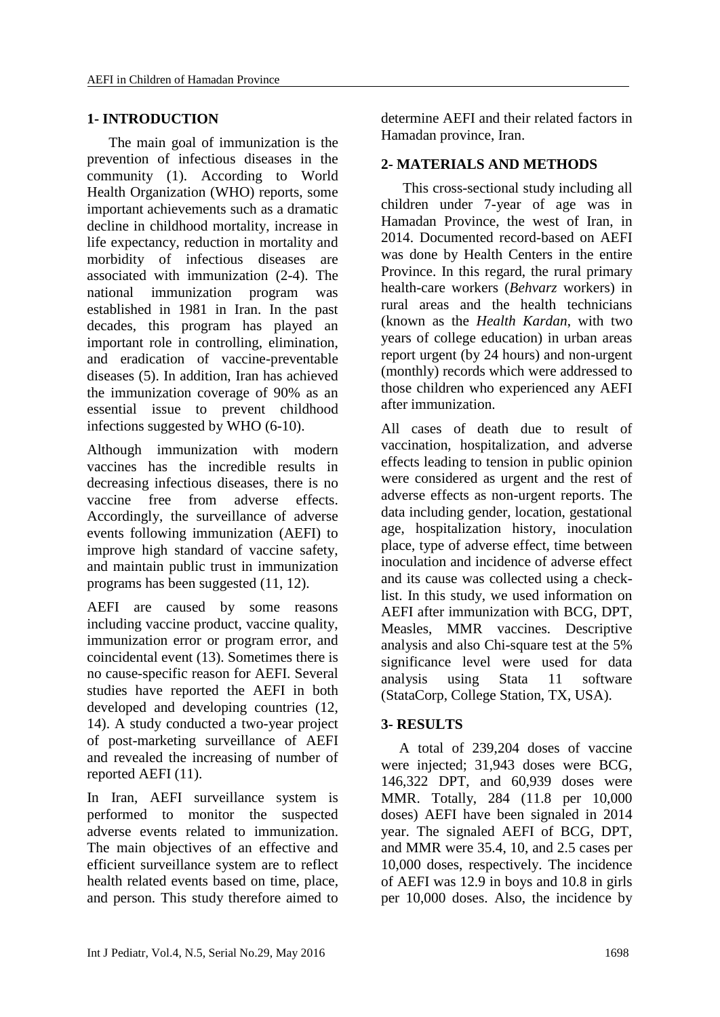# **1- INTRODUCTION**

 The main goal of immunization is the prevention of infectious diseases in the community [\(1\)](#page-5-0). According to World Health Organization (WHO) reports, some important achievements such as a dramatic decline in childhood mortality, increase in life expectancy, reduction in mortality and morbidity of infectious diseases are associated with immunization [\(2-](#page-5-1)4). The national immunization program was established in 1981 in Iran. In the past decades, this program has played an important role in controlling, elimination, and eradication of vaccine-preventable diseases [\(5\)](#page-5-2). In addition, Iran has achieved the immunization coverage of 90% as an essential issue to prevent childhood infections suggested by WHO [\(6-10\)](#page-5-3).

Although immunization with modern vaccines has the incredible results in decreasing infectious diseases, there is no vaccine free from adverse effects. Accordingly, the surveillance of adverse events following immunization (AEFI) to improve high standard of vaccine safety, and maintain public trust in immunization programs has been suggested [\(11,](#page-5-4) [12\)](#page-5-5).

AEFI are caused by some reasons including vaccine product, vaccine quality, immunization error or program error, and coincidental event [\(13\)](#page-5-6). Sometimes there is no cause-specific reason for AEFI. Several studies have reported the AEFI in both developed and developing countries [\(12,](#page-5-5) [14\)](#page-6-0). A study conducted a two-year project of post-marketing surveillance of AEFI and revealed the increasing of number of reported AEFI [\(11\)](#page-5-4).

In Iran, AEFI surveillance system is performed to monitor the suspected adverse events related to immunization. The main objectives of an effective and efficient surveillance system are to reflect health related events based on time, place, and person. This study therefore aimed to

determine AEFI and their related factors in Hamadan province, Iran.

# **2- MATERIALS AND METHODS**

 This cross-sectional study including all children under 7-year of age was in Hamadan Province, the west of Iran, in 2014. Documented record-based on AEFI was done by Health Centers in the entire Province. In this regard, the rural primary health-care workers (*Behvarz* workers) in rural areas and the health technicians (known as the *Health Kardan*, with two years of college education) in urban areas report urgent (by 24 hours) and non-urgent (monthly) records which were addressed to those children who experienced any AEFI after immunization.

All cases of death due to result of vaccination, hospitalization, and adverse effects leading to tension in public opinion were considered as urgent and the rest of adverse effects as non-urgent reports. The data including gender, location, gestational age, hospitalization history, inoculation place, type of adverse effect, time between inoculation and incidence of adverse effect and its cause was collected using a checklist. In this study, we used information on AEFI after immunization with BCG, DPT, Measles, MMR vaccines. Descriptive analysis and also Chi-square test at the 5% significance level were used for data analysis using Stata 11 software (StataCorp, College Station, TX, USA).

## **3- RESULTS**

 A total of 239,204 doses of vaccine were injected; 31,943 doses were BCG, 146,322 DPT, and 60,939 doses were MMR. Totally, 284 (11.8 per 10,000 doses) AEFI have been signaled in 2014 year. The signaled AEFI of BCG, DPT, and MMR were 35.4, 10, and 2.5 cases per 10,000 doses, respectively. The incidence of AEFI was 12.9 in boys and 10.8 in girls per 10,000 doses. Also, the incidence by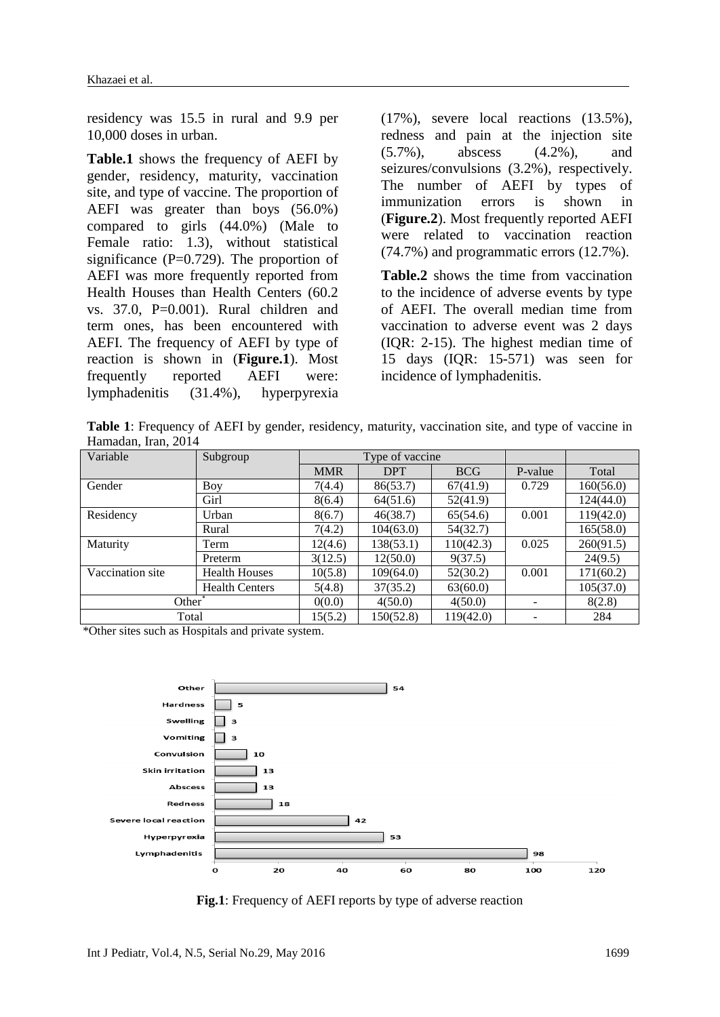residency was 15.5 in rural and 9.9 per 10,000 doses in urban.

**Table.1** shows the frequency of AEFI by gender, residency, maturity, vaccination site, and type of vaccine. The proportion of AEFI was greater than boys (56.0%) compared to girls (44.0%) (Male to Female ratio: 1.3), without statistical significance  $(P=0.729)$ . The proportion of AEFI was more frequently reported from Health Houses than Health Centers (60.2 vs. 37.0, P=0.001). Rural children and term ones, has been encountered with AEFI. The frequency of AEFI by type of reaction is shown in (**Figure.1**). Most frequently reported AEFI were: lymphadenitis (31.4%), hyperpyrexia

(17%), severe local reactions (13.5%), redness and pain at the injection site (5.7%), abscess (4.2%), and seizures/convulsions (3.2%), respectively. The number of AEFI by types of immunization errors is shown in (**Figure.2**). Most frequently reported AEFI were related to vaccination reaction (74.7%) and programmatic errors (12.7%).

**Table.2** shows the time from vaccination to the incidence of adverse events by type of AEFI. The overall median time from vaccination to adverse event was 2 days (IQR: 2-15). The highest median time of 15 days (IQR: 15-571) was seen for incidence of lymphadenitis.

**Table 1**: Frequency of AEFI by gender, residency, maturity, vaccination site, and type of vaccine in Hamadan, Iran, 2014

| Variable           | Subgroup              |            | Type of vaccine |            |         |           |
|--------------------|-----------------------|------------|-----------------|------------|---------|-----------|
|                    |                       | <b>MMR</b> | <b>DPT</b>      | <b>BCG</b> | P-value | Total     |
| Gender             | Boy                   | 7(4.4)     | 86(53.7)        | 67(41.9)   | 0.729   | 160(56.0) |
|                    | Girl                  | 8(6.4)     | 64(51.6)        | 52(41.9)   |         | 124(44.0) |
| Residency          | Urban                 | 8(6.7)     | 46(38.7)        | 65(54.6)   | 0.001   | 119(42.0) |
|                    | Rural                 | 7(4.2)     | 104(63.0)       | 54(32.7)   |         | 165(58.0) |
| Maturity           | Term                  | 12(4.6)    | 138(53.1)       | 110(42.3)  | 0.025   | 260(91.5) |
|                    | Preterm               | 3(12.5)    | 12(50.0)        | 9(37.5)    |         | 24(9.5)   |
| Vaccination site   | <b>Health Houses</b>  | 10(5.8)    | 109(64.0)       | 52(30.2)   | 0.001   | 171(60.2) |
|                    | <b>Health Centers</b> | 5(4.8)     | 37(35.2)        | 63(60.0)   |         | 105(37.0) |
| Other <sup>*</sup> |                       | 0(0.0)     | 4(50.0)         | 4(50.0)    |         | 8(2.8)    |
| Total              |                       | 15(5.2)    | 150(52.8)       | 119(42.0)  |         | 284       |

\*Other sites such as Hospitals and private system.



**Fig.1**: Frequency of AEFI reports by type of adverse reaction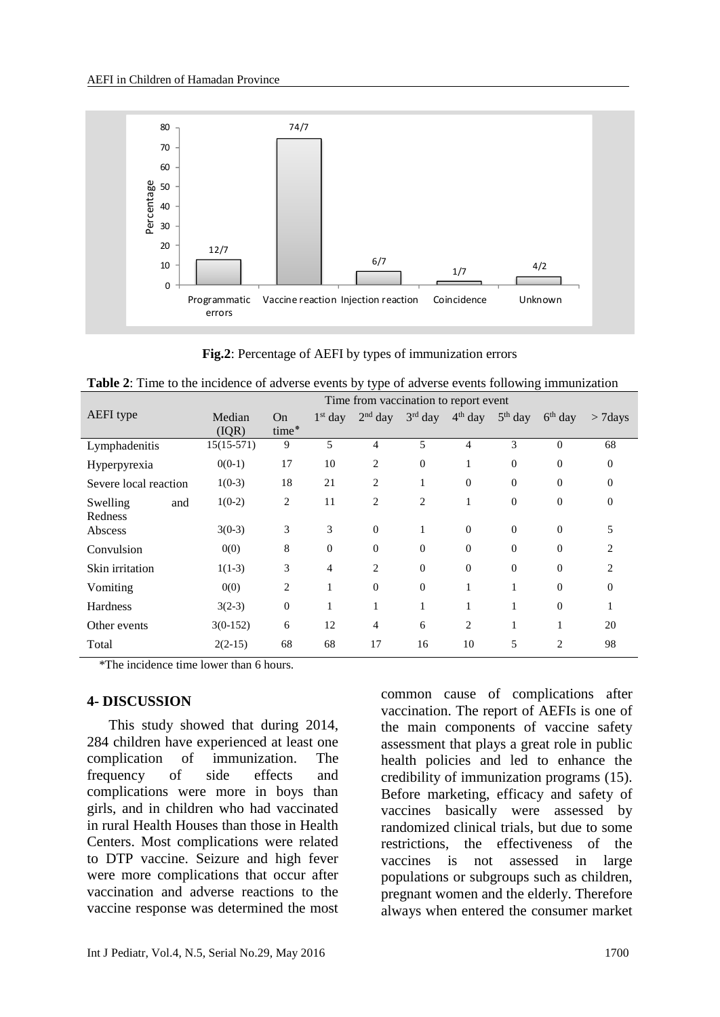

**Fig.2**: Percentage of AEFI by types of immunization errors

| Table 2: Time to the incidence of adverse events by type of adverse events following immunization |  |  |
|---------------------------------------------------------------------------------------------------|--|--|
|---------------------------------------------------------------------------------------------------|--|--|

|                       | Time from vaccination to report event |                |                |                |              |                |                  |                  |            |
|-----------------------|---------------------------------------|----------------|----------------|----------------|--------------|----------------|------------------|------------------|------------|
| <b>AEFI</b> type      | Median                                | On             | $1st$ day      | $2nd$ day      | $3rd$ day    | $4th$ day      | $5th$ day        | $6th$ day        | $> 7$ days |
|                       | (IQR)                                 | time*          |                |                |              |                |                  |                  |            |
| Lymphadenitis         | $15(15-571)$                          | 9              | 5              | 4              | 5            | $\overline{4}$ | 3                | $\theta$         | 68         |
| Hyperpyrexia          | $0(0-1)$                              | 17             | 10             | 2              | $\theta$     | 1              | $\boldsymbol{0}$ | $\boldsymbol{0}$ | $\theta$   |
| Severe local reaction | $1(0-3)$                              | 18             | 21             | 2              |              | $\Omega$       | $\overline{0}$   | $\overline{0}$   | $\Omega$   |
| Swelling<br>and       | $1(0-2)$                              | $\overline{c}$ | 11             | $\overline{c}$ | 2            |                | $\overline{0}$   | $\overline{0}$   | $\Omega$   |
| Redness               |                                       |                |                |                |              |                |                  |                  |            |
| Abscess               | $3(0-3)$                              | 3              | 3              | $\Omega$       |              | $\Omega$       | $\Omega$         | $\mathbf{0}$     | 5          |
| Convulsion            | 0(0)                                  | 8              | $\mathbf{0}$   | $\Omega$       | $\mathbf{0}$ | $\Omega$       | $\overline{0}$   | $\overline{0}$   | 2          |
| Skin irritation       | $1(1-3)$                              | 3              | $\overline{4}$ | $\overline{2}$ | $\theta$     | $\Omega$       | $\overline{0}$   | $\overline{0}$   | 2          |
| Vomiting              | 0(0)                                  | $\overline{2}$ | 1              | $\Omega$       | $\Omega$     | 1              |                  | $\overline{0}$   | $\Omega$   |
| Hardness              | $3(2-3)$                              | $\theta$       | 1              | 1              | 1            | 1              |                  | $\mathbf{0}$     |            |
| Other events          | $3(0-152)$                            | 6              | 12             | $\overline{4}$ | 6            | 2              | 1                | $\mathbf{I}$     | 20         |
| Total                 | $2(2-15)$                             | 68             | 68             | 17             | 16           | 10             | 5                | 2                | 98         |

\*The incidence time lower than 6 hours.

## **4- DISCUSSION**

 This study showed that during 2014, 284 children have experienced at least one complication of immunization. The frequency of side effects and complications were more in boys than girls, and in children who had vaccinated in rural Health Houses than those in Health Centers. Most complications were related to DTP vaccine. Seizure and high fever were more complications that occur after vaccination and adverse reactions to the vaccine response was determined the most

common cause of complications after vaccination. The report of AEFIs is one of the main components of vaccine safety assessment that plays a great role in public health policies and led to enhance the credibility of immunization programs [\(15\)](#page-6-1). Before marketing, efficacy and safety of vaccines basically were assessed by randomized clinical trials, but due to some restrictions, the effectiveness of the vaccines is not assessed in large populations or subgroups such as children, pregnant women and the elderly. Therefore always when entered the consumer market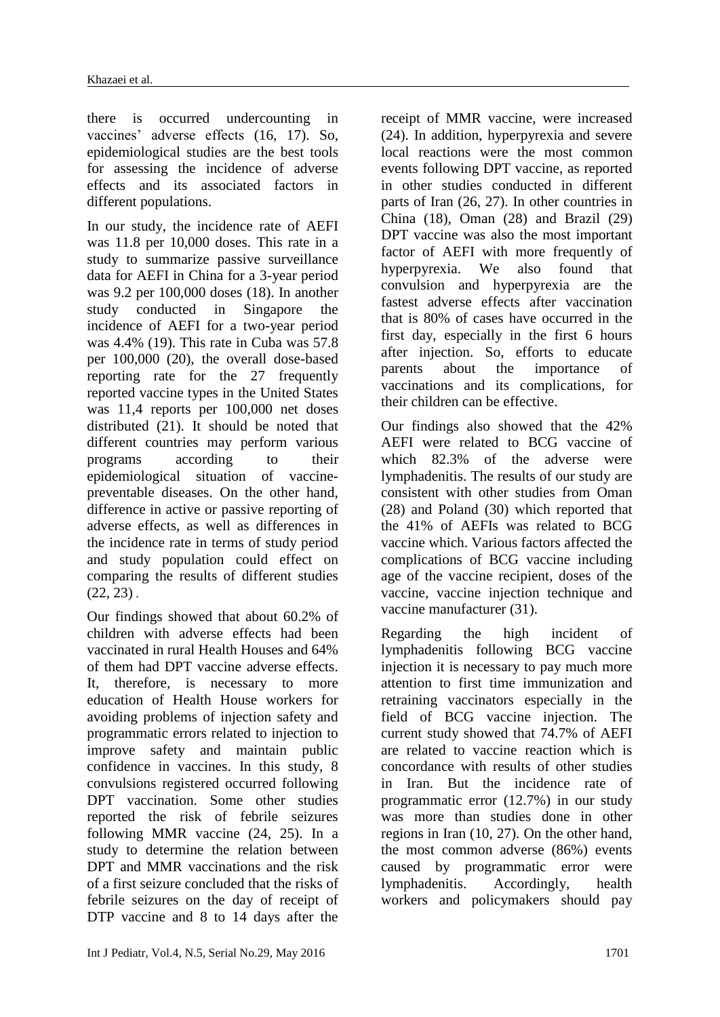there is occurred undercounting in vaccines' adverse effects [\(16,](#page-6-2) [17\)](#page-6-3). So, epidemiological studies are the best tools for assessing the incidence of adverse effects and its associated factors in different populations.

In our study, the incidence rate of AEFI was 11.8 per 10,000 doses. This rate in a study to summarize passive surveillance data for AEFI in China for a 3-year period was 9.2 per 100,000 doses [\(18\)](#page-6-4). In another study conducted in Singapore the incidence of AEFI for a two-year period was 4.4% [\(19\)](#page-6-5). This rate in Cuba was 57.8 per 100,000 [\(20\)](#page-6-6), the overall dose-based reporting rate for the 27 frequently reported vaccine types in the United States was 11,4 reports per 100,000 net doses distributed [\(21\)](#page-6-7). It should be noted that different countries may perform various programs according to their epidemiological situation of vaccinepreventable diseases. On the other hand, difference in active or passive reporting of adverse effects, as well as differences in the incidence rate in terms of study period and study population could effect on comparing the results of different studies  $(22, 23)$  $(22, 23)$ .

Our findings showed that about 60.2% of children with adverse effects had been vaccinated in rural Health Houses and 64% of them had DPT vaccine adverse effects. It, therefore, is necessary to more education of Health House workers for avoiding problems of injection safety and programmatic errors related to injection to improve safety and maintain public confidence in vaccines. In this study, 8 convulsions registered occurred following DPT vaccination. Some other studies reported the risk of febrile seizures following MMR vaccine [\(24,](#page-6-10) [25\)](#page-6-11). In a study to determine the relation between DPT and MMR vaccinations and the risk of a first seizure concluded that the risks of febrile seizures on the day of receipt of DTP vaccine and 8 to 14 days after the

receipt of MMR vaccine, were increased [\(24\)](#page-6-10). In addition, hyperpyrexia and severe local reactions were the most common events following DPT vaccine, as reported in other studies conducted in different parts of Iran [\(26,](#page-6-12) [27\)](#page-6-13). In other countries in China [\(18\)](#page-6-4), Oman [\(28\)](#page-6-14) and Brazil [\(29\)](#page-6-15) DPT vaccine was also the most important factor of AEFI with more frequently of hyperpyrexia. We also found that convulsion and hyperpyrexia are the fastest adverse effects after vaccination that is 80% of cases have occurred in the first day, especially in the first 6 hours after injection. So, efforts to educate parents about the importance of vaccinations and its complications, for their children can be effective.

Our findings also showed that the 42% AEFI were related to BCG vaccine of which 82.3% of the adverse were lymphadenitis. The results of our study are consistent with other studies from Oman [\(28\)](#page-6-14) and Poland [\(30\)](#page-6-16) which reported that the 41% of AEFIs was related to BCG vaccine which. Various factors affected the complications of BCG vaccine including age of the vaccine recipient, doses of the vaccine, vaccine injection technique and vaccine manufacturer [\(31\)](#page-6-17).

Regarding the high incident of lymphadenitis following BCG vaccine injection it is necessary to pay much more attention to first time immunization and retraining vaccinators especially in the field of BCG vaccine injection. The current study showed that 74.7% of AEFI are related to vaccine reaction which is concordance with results of other studies in Iran. But the incidence rate of programmatic error (12.7%) in our study was more than studies done in other regions in Iran [\(10,](#page-6-13) 27). On the other hand, the most common adverse (86%) events caused by programmatic error were lymphadenitis. Accordingly, health workers and policymakers should pay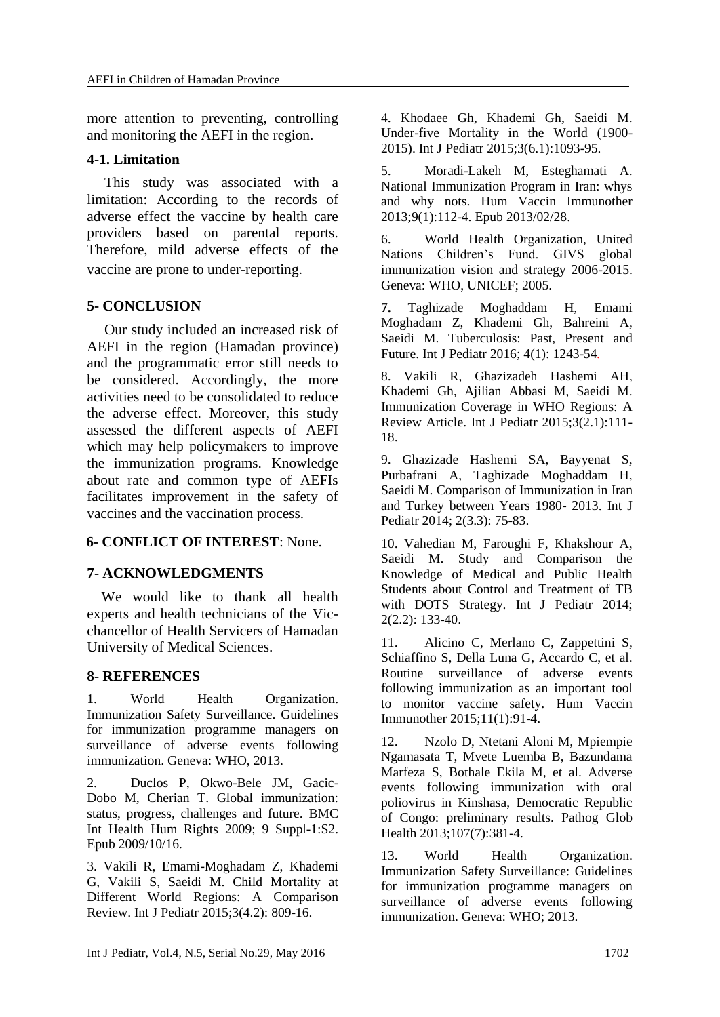more attention to preventing, controlling and monitoring the AEFI in the region.

## **4-1. Limitation**

This study was associated with a limitation: According to the records of adverse effect the vaccine by health care providers based on parental reports. Therefore, mild adverse effects of the vaccine are prone to under-reporting.

## **5- CONCLUSION**

Our study included an increased risk of AEFI in the region (Hamadan province) and the programmatic error still needs to be considered. Accordingly, the more activities need to be consolidated to reduce the adverse effect. Moreover, this study assessed the different aspects of AEFI which may help policymakers to improve the immunization programs. Knowledge about rate and common type of AEFIs facilitates improvement in the safety of vaccines and the vaccination process.

## **6- CONFLICT OF INTEREST**: None.

## **7- ACKNOWLEDGMENTS**

 We would like to thank all health experts and health technicians of the Vicchancellor of Health Servicers of Hamadan University of Medical Sciences.

## **8- REFERENCES**

<span id="page-5-0"></span>1. World Health Organization. Immunization Safety Surveillance. Guidelines for immunization programme managers on surveillance of adverse events following immunization. Geneva: WHO, 2013.

<span id="page-5-1"></span>2. Duclos P, Okwo-Bele JM, Gacic-Dobo M, Cherian T. Global immunization: status, progress, challenges and future. BMC Int Health Hum Rights 2009; 9 Suppl-1:S2. Epub 2009/10/16.

3. Vakili R, Emami-Moghadam Z, Khademi G, Vakili S, Saeidi M. Child Mortality at Different World Regions: A Comparison Review. Int J Pediatr 2015;3(4.2): 809-16.

4. Khodaee Gh, Khademi Gh, Saeidi M. Under-five Mortality in the World (1900- 2015). Int J Pediatr 2015;3(6.1):1093-95.

<span id="page-5-2"></span>5. Moradi-Lakeh M, Esteghamati A. National Immunization Program in Iran: whys and why nots. Hum Vaccin Immunother 2013;9(1):112-4. Epub 2013/02/28.

<span id="page-5-3"></span>6. World Health Organization, United Nations Children's Fund. GIVS global immunization vision and strategy 2006-2015. Geneva: WHO, UNICEF; 2005.

**7.** Taghizade Moghaddam H, Emami Moghadam Z, Khademi Gh, Bahreini A, Saeidi M. Tuberculosis: Past, Present and Future. Int J Pediatr 2016; 4(1): 1243-54*.*

8. Vakili R, Ghazizadeh Hashemi AH, Khademi Gh, Ajilian Abbasi M, Saeidi M. Immunization Coverage in WHO Regions: A Review Article. Int J Pediatr 2015;3(2.1):111-18.

9. Ghazizade Hashemi SA, Bayyenat S, Purbafrani A, Taghizade Moghaddam H, Saeidi M. Comparison of Immunization in Iran and Turkey between Years 1980- 2013. Int J Pediatr 2014; 2(3.3): 75-83.

10. Vahedian M, Faroughi F, Khakshour A, Saeidi M. Study and Comparison the Knowledge of Medical and Public Health Students about Control and Treatment of TB with DOTS Strategy. Int J Pediatr 2014; 2(2.2): 133-40.

<span id="page-5-4"></span>11. Alicino C, Merlano C, Zappettini S, Schiaffino S, Della Luna G, Accardo C, et al. Routine surveillance of adverse events following immunization as an important tool to monitor vaccine safety. Hum Vaccin Immunother 2015;11(1):91-4.

<span id="page-5-5"></span>12. Nzolo D, Ntetani Aloni M, Mpiempie Ngamasata T, Mvete Luemba B, Bazundama Marfeza S, Bothale Ekila M, et al. Adverse events following immunization with oral poliovirus in Kinshasa, Democratic Republic of Congo: preliminary results. Pathog Glob Health 2013;107(7):381-4.

<span id="page-5-6"></span>13. World Health Organization. Immunization Safety Surveillance: Guidelines for immunization programme managers on surveillance of adverse events following immunization. Geneva: WHO; 2013.